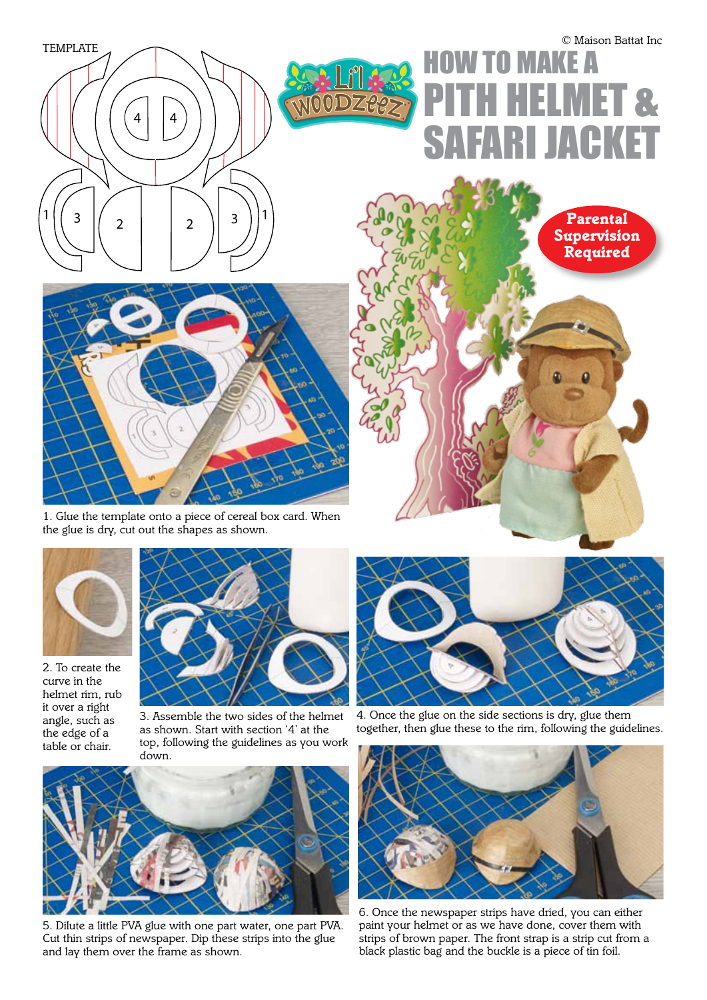

## $\overline{\phantom{a}}$ **TO MAKE A FIMET &** SAFARI JACKET

 $A d \theta_{\text{D}} \propto \theta$  $2222222222$ 

 $\left( 0 \right)$ 

 $64$ 



*1. Glue the template onto a piece of cereal box card. When the glue is dry, cut out the shapes as shown.*



*2. To create the curve in the helmet rim, rub it over a right angle, such as the edge of a table or chair.*



*3. Assemble the two sides of the helmet as shown. Start with section '4' at the top, following the guidelines as you work down.*



*5. Dilute a little PVA glue with one part water, one part PVA. Cut thin strips of newspaper. Dip these strips into the glue and lay them over the frame as shown.*



*4. Once the glue on the side sections is dry, glue them together, then glue these to the rim, following the guidelines.*



*6. Once the newspaper strips have dried, you can either paint your helmet or as we have done, cover them with strips of brown paper. The front strap is a strip cut from a black plastic bag and the buckle is a piece of tin foil.*

*Supervision Required*

*Parental*

© *Maison Battat Inc*